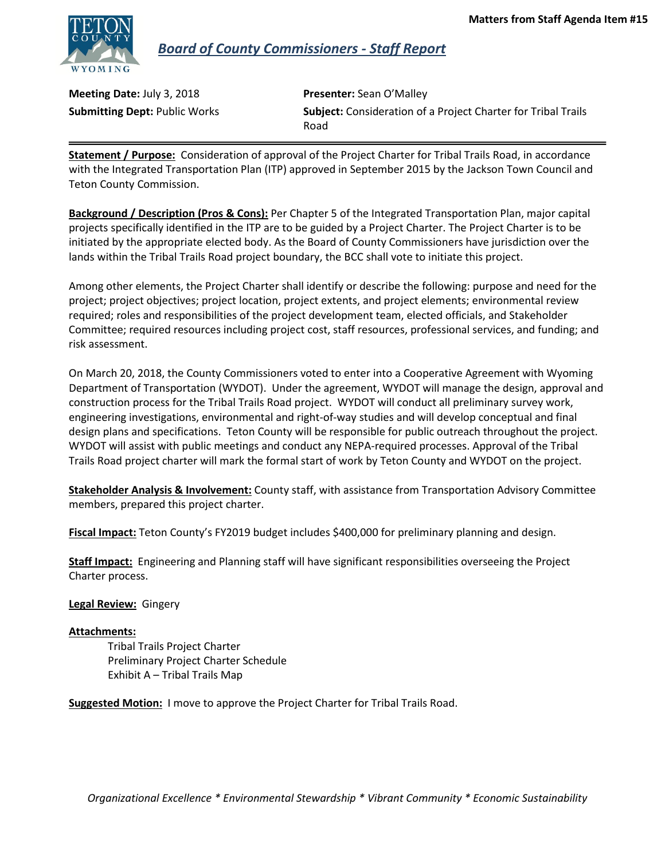

 *Board of County Commissioners - Staff Report*

**Meeting Date:** July 3, 2018 **Presenter:** Sean O'Malley

**Submitting Dept:** Public Works **Subject:** Consideration of a Project Charter for Tribal Trails Road

**Statement / Purpose:** Consideration of approval of the Project Charter for Tribal Trails Road, in accordance with the Integrated Transportation Plan (ITP) approved in September 2015 by the Jackson Town Council and Teton County Commission.

**Background / Description (Pros & Cons):** Per Chapter 5 of the Integrated Transportation Plan, major capital projects specifically identified in the ITP are to be guided by a Project Charter. The Project Charter is to be initiated by the appropriate elected body. As the Board of County Commissioners have jurisdiction over the lands within the Tribal Trails Road project boundary, the BCC shall vote to initiate this project.

Among other elements, the Project Charter shall identify or describe the following: purpose and need for the project; project objectives; project location, project extents, and project elements; environmental review required; roles and responsibilities of the project development team, elected officials, and Stakeholder Committee; required resources including project cost, staff resources, professional services, and funding; and risk assessment.

On March 20, 2018, the County Commissioners voted to enter into a Cooperative Agreement with Wyoming Department of Transportation (WYDOT). Under the agreement, WYDOT will manage the design, approval and construction process for the Tribal Trails Road project. WYDOT will conduct all preliminary survey work, engineering investigations, environmental and right-of-way studies and will develop conceptual and final design plans and specifications. Teton County will be responsible for public outreach throughout the project. WYDOT will assist with public meetings and conduct any NEPA-required processes. Approval of the Tribal Trails Road project charter will mark the formal start of work by Teton County and WYDOT on the project.

**Stakeholder Analysis & Involvement:** County staff, with assistance from Transportation Advisory Committee members, prepared this project charter.

**Fiscal Impact:** Teton County's FY2019 budget includes \$400,000 for preliminary planning and design.

**Staff Impact:** Engineering and Planning staff will have significant responsibilities overseeing the Project Charter process.

#### **Legal Review:** Gingery

#### **Attachments:**

Tribal Trails Project Charter Preliminary Project Charter Schedule Exhibit A – Tribal Trails Map

**Suggested Motion:** I move to approve the Project Charter for Tribal Trails Road.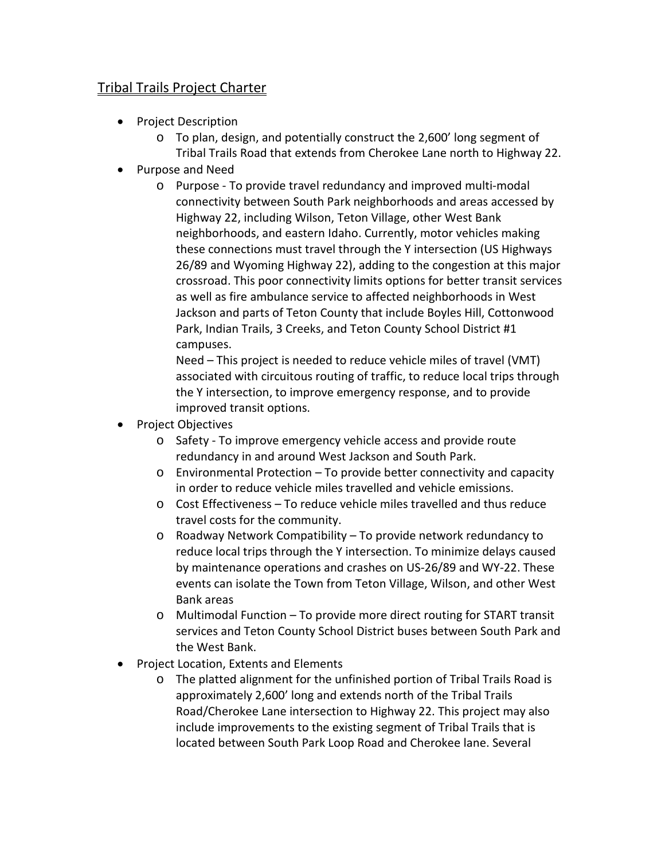# Tribal Trails Project Charter

- Project Description
	- o To plan, design, and potentially construct the 2,600' long segment of Tribal Trails Road that extends from Cherokee Lane north to Highway 22.
- Purpose and Need
	- o Purpose To provide travel redundancy and improved multi-modal connectivity between South Park neighborhoods and areas accessed by Highway 22, including Wilson, Teton Village, other West Bank neighborhoods, and eastern Idaho. Currently, motor vehicles making these connections must travel through the Y intersection (US Highways 26/89 and Wyoming Highway 22), adding to the congestion at this major crossroad. This poor connectivity limits options for better transit services as well as fire ambulance service to affected neighborhoods in West Jackson and parts of Teton County that include Boyles Hill, Cottonwood Park, Indian Trails, 3 Creeks, and Teton County School District #1 campuses.

Need – This project is needed to reduce vehicle miles of travel (VMT) associated with circuitous routing of traffic, to reduce local trips through the Y intersection, to improve emergency response, and to provide improved transit options.

- Project Objectives
	- o Safety To improve emergency vehicle access and provide route redundancy in and around West Jackson and South Park.
	- o Environmental Protection To provide better connectivity and capacity in order to reduce vehicle miles travelled and vehicle emissions.
	- o Cost Effectiveness To reduce vehicle miles travelled and thus reduce travel costs for the community.
	- o Roadway Network Compatibility To provide network redundancy to reduce local trips through the Y intersection. To minimize delays caused by maintenance operations and crashes on US-26/89 and WY-22. These events can isolate the Town from Teton Village, Wilson, and other West Bank areas
	- o Multimodal Function To provide more direct routing for START transit services and Teton County School District buses between South Park and the West Bank.
- Project Location, Extents and Elements
	- o The platted alignment for the unfinished portion of Tribal Trails Road is approximately 2,600' long and extends north of the Tribal Trails Road/Cherokee Lane intersection to Highway 22. This project may also include improvements to the existing segment of Tribal Trails that is located between South Park Loop Road and Cherokee lane. Several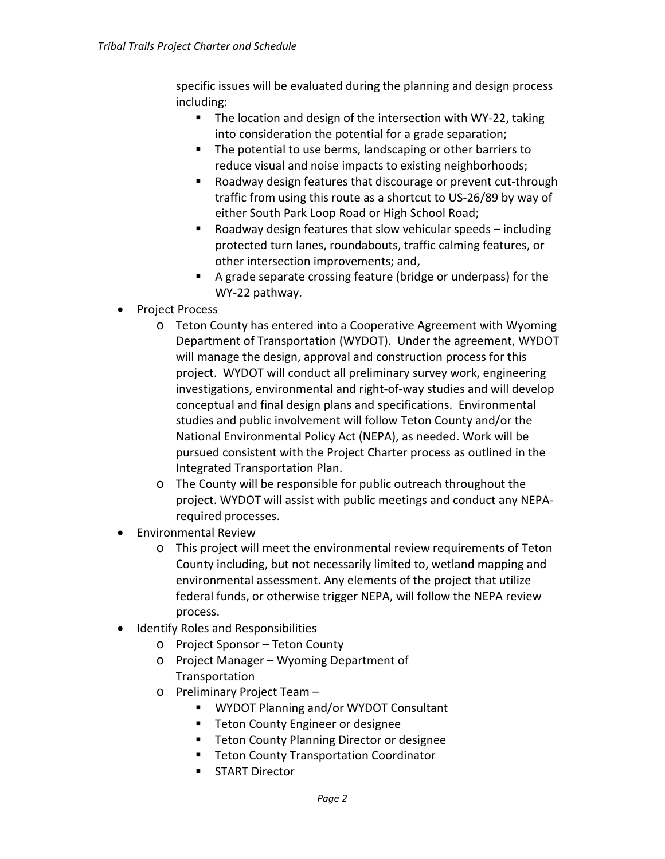specific issues will be evaluated during the planning and design process including:

- The location and design of the intersection with WY-22, taking into consideration the potential for a grade separation;
- The potential to use berms, landscaping or other barriers to reduce visual and noise impacts to existing neighborhoods;
- Roadway design features that discourage or prevent cut-through traffic from using this route as a shortcut to US-26/89 by way of either South Park Loop Road or High School Road;
- Roadway design features that slow vehicular speeds including protected turn lanes, roundabouts, traffic calming features, or other intersection improvements; and,
- A grade separate crossing feature (bridge or underpass) for the WY-22 pathway.
- Project Process
	- o Teton County has entered into a Cooperative Agreement with Wyoming Department of Transportation (WYDOT). Under the agreement, WYDOT will manage the design, approval and construction process for this project. WYDOT will conduct all preliminary survey work, engineering investigations, environmental and right-of-way studies and will develop conceptual and final design plans and specifications. Environmental studies and public involvement will follow Teton County and/or the National Environmental Policy Act (NEPA), as needed. Work will be pursued consistent with the Project Charter process as outlined in the Integrated Transportation Plan.
	- o The County will be responsible for public outreach throughout the project. WYDOT will assist with public meetings and conduct any NEPArequired processes.
- Environmental Review
	- o This project will meet the environmental review requirements of Teton County including, but not necessarily limited to, wetland mapping and environmental assessment. Any elements of the project that utilize federal funds, or otherwise trigger NEPA, will follow the NEPA review process.
- Identify Roles and Responsibilities
	- o Project Sponsor Teton County
	- o Project Manager Wyoming Department of **Transportation**
	- o Preliminary Project Team
		- WYDOT Planning and/or WYDOT Consultant
		- **Teton County Engineer or designee**
		- **Teton County Planning Director or designee**
		- **Teton County Transportation Coordinator**
		- **START Director**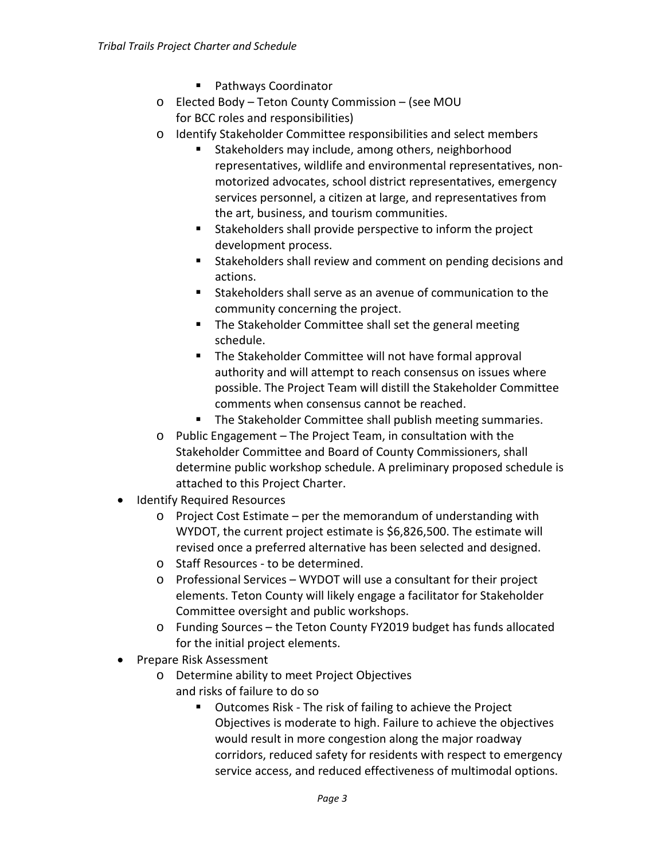- Pathways Coordinator
- o Elected Body Teton County Commission (see MOU for BCC roles and responsibilities)
- o Identify Stakeholder Committee responsibilities and select members
	- **Stakeholders may include, among others, neighborhood** representatives, wildlife and environmental representatives, nonmotorized advocates, school district representatives, emergency services personnel, a citizen at large, and representatives from the art, business, and tourism communities.
	- Stakeholders shall provide perspective to inform the project development process.
	- Stakeholders shall review and comment on pending decisions and actions.
	- Stakeholders shall serve as an avenue of communication to the community concerning the project.
	- **The Stakeholder Committee shall set the general meeting** schedule.
	- **The Stakeholder Committee will not have formal approval** authority and will attempt to reach consensus on issues where possible. The Project Team will distill the Stakeholder Committee comments when consensus cannot be reached.
	- **The Stakeholder Committee shall publish meeting summaries.**
- o Public Engagement The Project Team, in consultation with the Stakeholder Committee and Board of County Commissioners, shall determine public workshop schedule. A preliminary proposed schedule is attached to this Project Charter.
- Identify Required Resources
	- o Project Cost Estimate per the memorandum of understanding with WYDOT, the current project estimate is \$6,826,500. The estimate will revised once a preferred alternative has been selected and designed.
	- o Staff Resources to be determined.
	- o Professional Services WYDOT will use a consultant for their project elements. Teton County will likely engage a facilitator for Stakeholder Committee oversight and public workshops.
	- o Funding Sources the Teton County FY2019 budget has funds allocated for the initial project elements.
- Prepare Risk Assessment
	- o Determine ability to meet Project Objectives and risks of failure to do so
		- Outcomes Risk The risk of failing to achieve the Project Objectives is moderate to high. Failure to achieve the objectives would result in more congestion along the major roadway corridors, reduced safety for residents with respect to emergency service access, and reduced effectiveness of multimodal options.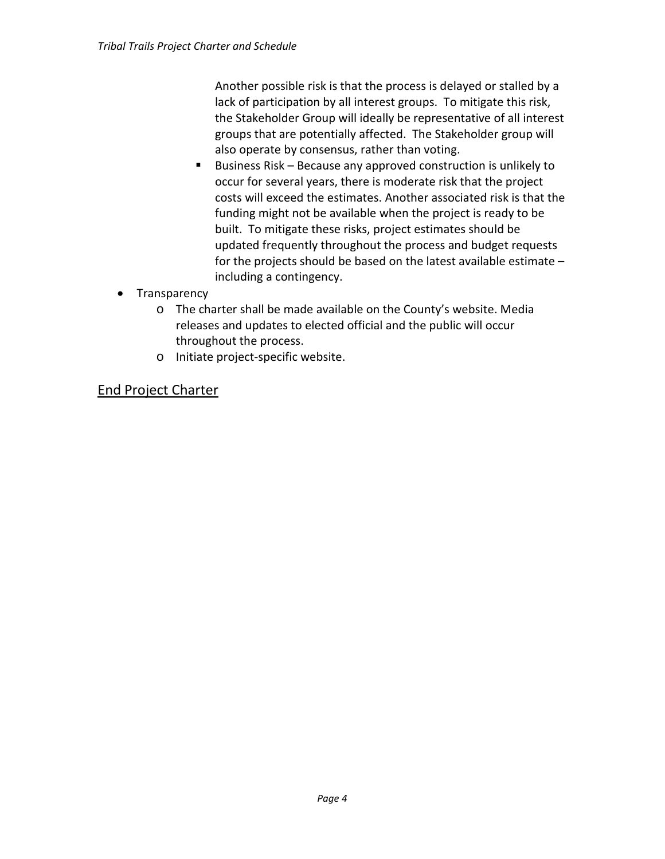Another possible risk is that the process is delayed or stalled by a lack of participation by all interest groups. To mitigate this risk, the Stakeholder Group will ideally be representative of all interest groups that are potentially affected. The Stakeholder group will also operate by consensus, rather than voting.

- Business Risk Because any approved construction is unlikely to occur for several years, there is moderate risk that the project costs will exceed the estimates. Another associated risk is that the funding might not be available when the project is ready to be built. To mitigate these risks, project estimates should be updated frequently throughout the process and budget requests for the projects should be based on the latest available estimate – including a contingency.
- Transparency
	- o The charter shall be made available on the County's website. Media releases and updates to elected official and the public will occur throughout the process.
	- o Initiate project-specific website.

# End Project Charter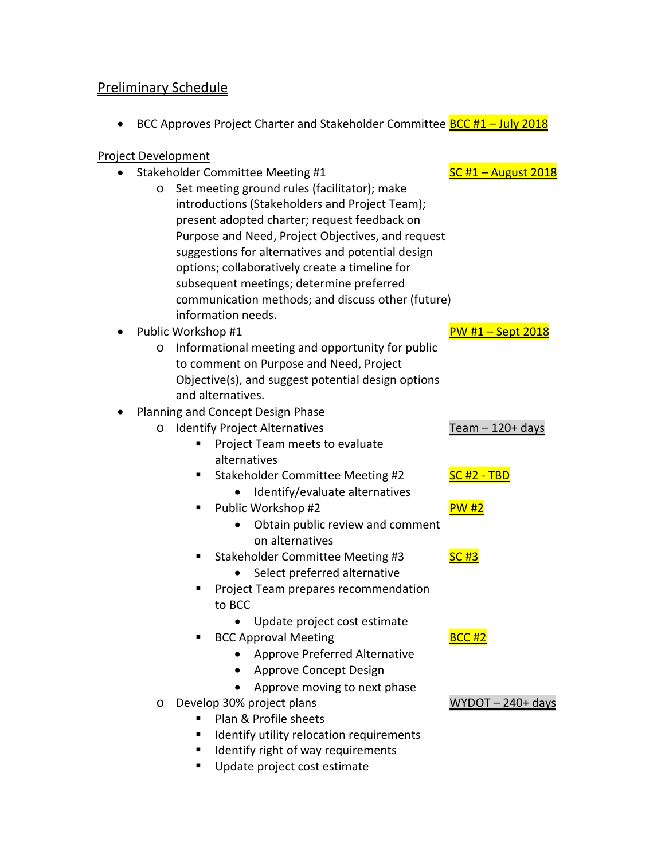# Preliminary Schedule

• BCC Approves Project Charter and Stakeholder Committee BCC #1 - July 2018

### Project Development

- Stakeholder Committee Meeting #1 SC #1 August 2018
	- o Set meeting ground rules (facilitator); make introductions (Stakeholders and Project Team); present adopted charter; request feedback on Purpose and Need, Project Objectives, and request suggestions for alternatives and potential design options; collaboratively create a timeline for subsequent meetings; determine preferred communication methods; and discuss other (future) information needs.

## • Public Workshop #1 Public Workshop #1

o Informational meeting and opportunity for public to comment on Purpose and Need, Project Objective(s), and suggest potential design options and alternatives.

## • Planning and Concept Design Phase

- o Identify Project Alternatives Team 120+ days
	- **Project Team meets to evaluate** alternatives
		- Stakeholder Committee Meeting #2 SC #2 TBD
			- Identify/evaluate alternatives
	- Public Workshop #2 PW #2
		- Obtain public review and comment on alternatives
	- Stakeholder Committee Meeting #3 SC #3
		- Select preferred alternative
	- **Project Team prepares recommendation** to BCC
		- Update project cost estimate
	- BCC Approval Meeting BCC +2
		- Approve Preferred Alternative
		- Approve Concept Design
		- Approve moving to next phase
- o Develop 30% project plans WYDOT 240+ days
	- Plan & Profile sheets
	- **IDENTIFY IDENTIFY RELACTATION REQUIREMENTS**
	- **If** Identify right of way requirements
	- Update project cost estimate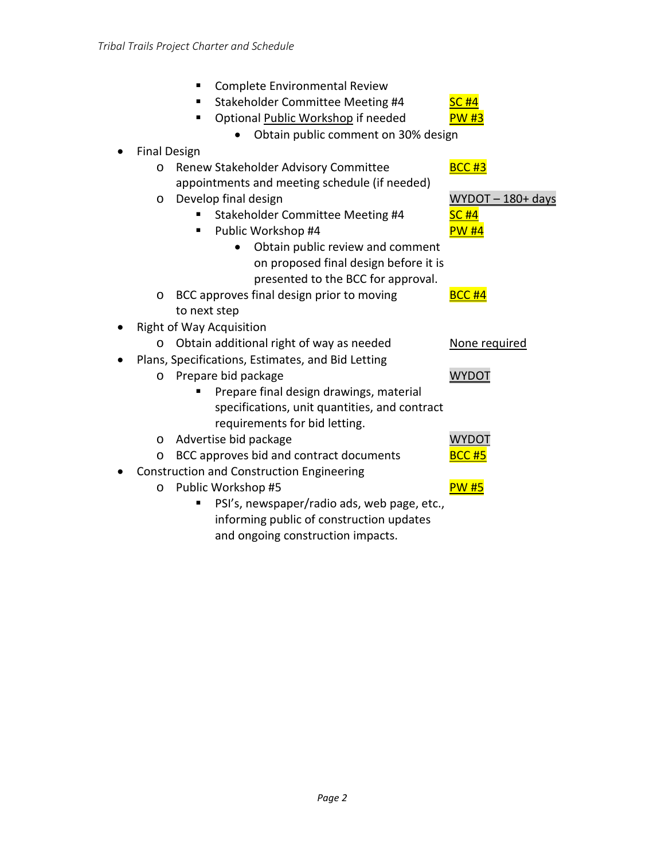| Complete Environmental Review<br>п                   |                      |
|------------------------------------------------------|----------------------|
| Stakeholder Committee Meeting #4<br>п                | <b>SC #4</b>         |
| Optional Public Workshop if needed<br>٠              | <b>PW #3</b>         |
| Obtain public comment on 30% design                  |                      |
| <b>Final Design</b>                                  |                      |
| Renew Stakeholder Advisory Committee<br>$\circ$      | <b>BCC #3</b>        |
| appointments and meeting schedule (if needed)        |                      |
| Develop final design<br>O                            | $WYDOT - 180 + days$ |
| Stakeholder Committee Meeting #4                     | <b>SC #4</b>         |
| Public Workshop #4<br>п                              | <b>PW #4</b>         |
| Obtain public review and comment                     |                      |
| on proposed final design before it is                |                      |
| presented to the BCC for approval.                   |                      |
| BCC approves final design prior to moving<br>$\circ$ | <b>BCC #4</b>        |
| to next step                                         |                      |
| <b>Right of Way Acquisition</b>                      |                      |
| Obtain additional right of way as needed<br>O        | None required        |
| Plans, Specifications, Estimates, and Bid Letting    |                      |
| Prepare bid package<br>$\circ$                       | <b>WYDOT</b>         |
| Prepare final design drawings, material              |                      |
| specifications, unit quantities, and contract        |                      |
| requirements for bid letting.                        |                      |
| Advertise bid package<br>$\circ$                     | <b>WYDOT</b>         |
| BCC approves bid and contract documents<br>$\circ$   | <b>BCC #5</b>        |
| <b>Construction and Construction Engineering</b>     |                      |
| Public Workshop #5<br>$\circ$                        | <b>PW #5</b>         |
| PSI's, newspaper/radio ads, web page, etc.,          |                      |
| informing public of construction updates             |                      |
| and ongoing construction impacts.                    |                      |